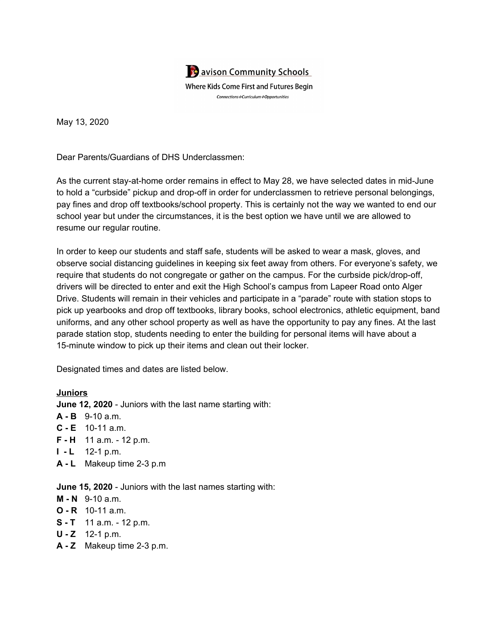

May 13, 2020

Dear Parents/Guardians of DHS Underclassmen:

As the current stay-at-home order remains in effect to May 28, we have selected dates in mid-June to hold a "curbside" pickup and drop-off in order for underclassmen to retrieve personal belongings, pay fines and drop off textbooks/school property. This is certainly not the way we wanted to end our school year but under the circumstances, it is the best option we have until we are allowed to resume our regular routine.

In order to keep our students and staff safe, students will be asked to wear a mask, gloves, and observe social distancing guidelines in keeping six feet away from others. For everyone's safety, we require that students do not congregate or gather on the campus. For the curbside pick/drop-off, drivers will be directed to enter and exit the High School's campus from Lapeer Road onto Alger Drive. Students will remain in their vehicles and participate in a "parade" route with station stops to pick up yearbooks and drop off textbooks, library books, school electronics, athletic equipment, band uniforms, and any other school property as well as have the opportunity to pay any fines. At the last parade station stop, students needing to enter the building for personal items will have about a 15-minute window to pick up their items and clean out their locker.

Designated times and dates are listed below.

## **Juniors**

**June 12, 2020** - Juniors with the last name starting with:

- **A - B** 9-10 a.m.
- **C - E** 10-11 a.m.
- **F - H** 11 a.m. 12 p.m.
- **I - L** 12-1 p.m.
- **A - L** Makeup time 2-3 p.m

**June 15, 2020** - Juniors with the last names starting with:

- **M - N** 9-10 a.m.
- **O - R** 10-11 a.m.
- **S - T** 11 a.m. 12 p.m.
- **U - Z** 12-1 p.m.
- **A - Z** Makeup time 2-3 p.m.